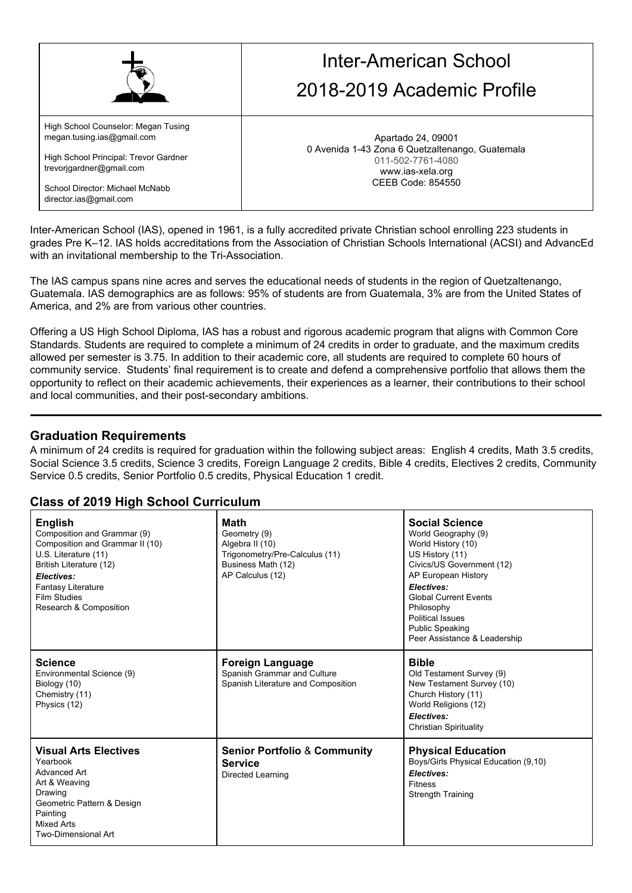|                                                                   | Inter-American School<br>2018-2019 Academic Profile                                      |
|-------------------------------------------------------------------|------------------------------------------------------------------------------------------|
| High School Counselor: Megan Tusing<br>megan.tusing.ias@gmail.com | Apartado 24, 09001                                                                       |
| High School Principal: Trevor Gardner<br>trevorigardner@gmail.com | 0 Avenida 1-43 Zona 6 Quetzaltenango, Guatemala<br>011-502-7761-4080<br>www.ias-xela.org |
| School Director: Michael McNabb<br>director.ias@gmail.com         | CEEB Code: 854550                                                                        |

Inter-American School (IAS), opened in 1961, is a fully accredited private Christian school enrolling 223 students in grades Pre K–12. IAS holds accreditations from the Association of Christian Schools International (ACSI) and AdvancEd with an invitational membership to the Tri-Association.

The IAS campus spans nine acres and serves the educational needs of students in the region of Quetzaltenango, Guatemala. IAS demographics are as follows: 95% of students are from Guatemala, 3% are from the United States of America, and 2% are from various other countries.

Offering a US High School Diploma, IAS has a robust and rigorous academic program that aligns with Common Core Standards. Students are required to complete a minimum of 24 credits in order to graduate, and the maximum credits allowed per semester is 3.75. In addition to their academic core, all students are required to complete 60 hours of community service. Students' final requirement is to create and defend a comprehensive portfolio that allows them the opportunity to reflect on their academic achievements, their experiences as a learner, their contributions to their school and local communities, and their post-secondary ambitions.

#### **Graduation Requirements**

A minimum of 24 credits is required for graduation within the following subject areas: English 4 credits, Math 3.5 credits, Social Science 3.5 credits, Science 3 credits, Foreign Language 2 credits, Bible 4 credits, Electives 2 credits, Community Service 0.5 credits, Senior Portfolio 0.5 credits, Physical Education 1 credit.

#### **Class of 2019 High School Curriculum**

| <b>English</b><br>Composition and Grammar (9)<br>Composition and Grammar II (10)<br>U.S. Literature (11)<br>British Literature (12)<br>Electives:<br><b>Fantasy Literature</b><br><b>Film Studies</b><br>Research & Composition | <b>Math</b><br>Geometry (9)<br>Algebra II (10)<br>Trigonometry/Pre-Calculus (11)<br>Business Math (12)<br>AP Calculus (12) | <b>Social Science</b><br>World Geography (9)<br>World History (10)<br>US History (11)<br>Civics/US Government (12)<br>AP European History<br>Electives:<br><b>Global Current Events</b><br>Philosophy<br><b>Political Issues</b><br><b>Public Speaking</b><br>Peer Assistance & Leadership |
|---------------------------------------------------------------------------------------------------------------------------------------------------------------------------------------------------------------------------------|----------------------------------------------------------------------------------------------------------------------------|--------------------------------------------------------------------------------------------------------------------------------------------------------------------------------------------------------------------------------------------------------------------------------------------|
| <b>Science</b><br>Environmental Science (9)<br>Biology (10)<br>Chemistry (11)<br>Physics (12)                                                                                                                                   | <b>Foreign Language</b><br>Spanish Grammar and Culture<br>Spanish Literature and Composition                               | <b>Bible</b><br>Old Testament Survey (9)<br>New Testament Survey (10)<br>Church History (11)<br>World Religions (12)<br>Electives:<br><b>Christian Spirituality</b>                                                                                                                        |
| <b>Visual Arts Electives</b><br>Yearbook<br>Advanced Art<br>Art & Weaving<br>Drawing<br>Geometric Pattern & Design<br>Painting<br><b>Mixed Arts</b><br>Two-Dimensional Art                                                      | <b>Senior Portfolio &amp; Community</b><br><b>Service</b><br>Directed Learning                                             | <b>Physical Education</b><br>Boys/Girls Physical Education (9,10)<br>Electives:<br><b>Fitness</b><br><b>Strength Training</b>                                                                                                                                                              |